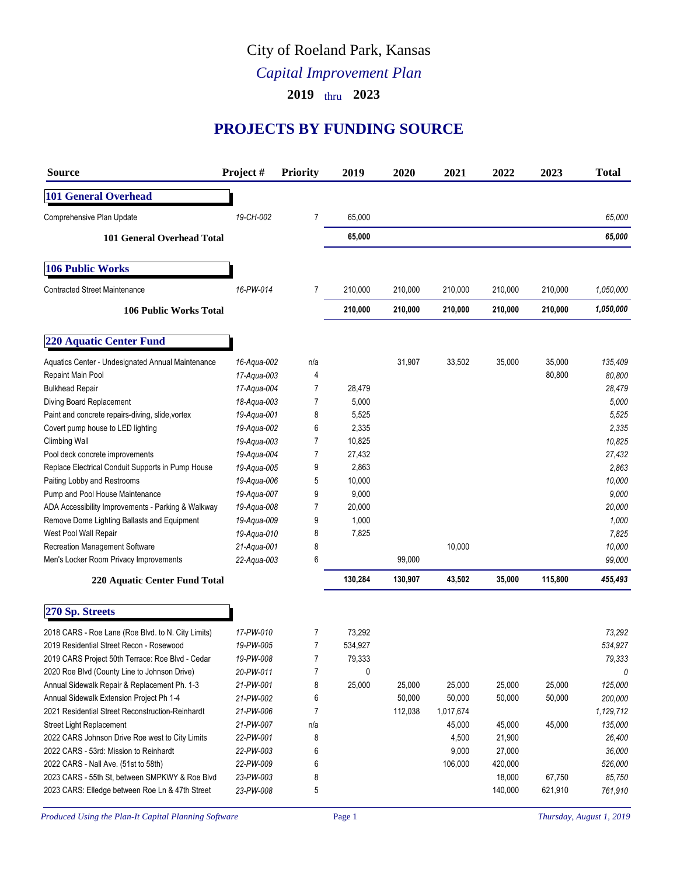## City of Roeland Park, Kansas

## *Capital Improvement Plan*

**2019** thru **2023**

## **PROJECTS BY FUNDING SOURCE**

| <b>Source</b>                                      | Project #   | <b>Priority</b> | 2019    | 2020    | 2021      | 2022    | 2023    | <b>Total</b> |
|----------------------------------------------------|-------------|-----------------|---------|---------|-----------|---------|---------|--------------|
| <b>101 General Overhead</b>                        |             |                 |         |         |           |         |         |              |
| Comprehensive Plan Update                          | 19-CH-002   | 7               | 65,000  |         |           |         |         | 65,000       |
| <b>101 General Overhead Total</b>                  |             |                 | 65,000  |         |           |         |         | 65,000       |
| <b>106 Public Works</b>                            |             |                 |         |         |           |         |         |              |
| <b>Contracted Street Maintenance</b>               | 16-PW-014   | 7               | 210,000 | 210,000 | 210,000   | 210,000 | 210,000 | 1,050,000    |
| <b>106 Public Works Total</b>                      |             |                 | 210,000 | 210,000 | 210,000   | 210,000 | 210,000 | 1,050,000    |
| <b>220 Aquatic Center Fund</b>                     |             |                 |         |         |           |         |         |              |
| Aquatics Center - Undesignated Annual Maintenance  | 16-Aqua-002 | n/a             |         | 31,907  | 33,502    | 35,000  | 35,000  | 135,409      |
| Repaint Main Pool                                  | 17-Aqua-003 | 4               |         |         |           |         | 80,800  | 80,800       |
| <b>Bulkhead Repair</b>                             | 17-Aqua-004 | 7               | 28,479  |         |           |         |         | 28,479       |
| Diving Board Replacement                           | 18-Aqua-003 | 7               | 5,000   |         |           |         |         | 5,000        |
| Paint and concrete repairs-diving, slide, vortex   | 19-Aqua-001 | 8               | 5,525   |         |           |         |         | 5,525        |
| Covert pump house to LED lighting                  | 19-Agua-002 | 6               | 2,335   |         |           |         |         | 2,335        |
| Climbing Wall                                      | 19-Aqua-003 | 7               | 10,825  |         |           |         |         | 10,825       |
| Pool deck concrete improvements                    | 19-Aqua-004 | 7               | 27,432  |         |           |         |         | 27,432       |
| Replace Electrical Conduit Supports in Pump House  | 19-Aqua-005 | 9               | 2,863   |         |           |         |         | 2,863        |
| Paiting Lobby and Restrooms                        | 19-Aqua-006 | 5               | 10,000  |         |           |         |         | 10,000       |
| Pump and Pool House Maintenance                    | 19-Aqua-007 | 9               | 9,000   |         |           |         |         | 9,000        |
| ADA Accessibility Improvements - Parking & Walkway | 19-Aqua-008 | 7               | 20,000  |         |           |         |         | 20,000       |
| Remove Dome Lighting Ballasts and Equipment        | 19-Aqua-009 | 9               | 1,000   |         |           |         |         | 1,000        |
| West Pool Wall Repair                              | 19-Aqua-010 | 8               | 7,825   |         |           |         |         | 7,825        |
| Recreation Management Software                     | 21-Aqua-001 | 8               |         |         | 10,000    |         |         | 10,000       |
| Men's Locker Room Privacy Improvements             | 22-Aqua-003 | 6               |         | 99,000  |           |         |         | 99,000       |
| 220 Aquatic Center Fund Total                      |             |                 | 130,284 | 130,907 | 43,502    | 35,000  | 115,800 | 455,493      |
| 270 Sp. Streets                                    |             |                 |         |         |           |         |         |              |
| 2018 CARS - Roe Lane (Roe Blvd. to N. City Limits) | 17-PW-010   | 7               | 73,292  |         |           |         |         | 73,292       |
| 2019 Residential Street Recon - Rosewood           | 19-PW-005   | 7               | 534,927 |         |           |         |         | 534,927      |
| 2019 CARS Project 50th Terrace: Roe Blvd - Cedar   | 19-PW-008   | 7               | 79,333  |         |           |         |         | 79,333       |
| 2020 Roe Blvd (County Line to Johnson Drive)       | 20-PW-011   | 7               | 0       |         |           |         |         | 0            |
| Annual Sidewalk Repair & Replacement Ph. 1-3       | 21-PW-001   | 8               | 25,000  | 25,000  | 25,000    | 25,000  | 25,000  | 125,000      |
| Annual Sidewalk Extension Project Ph 1-4           | 21-PW-002   | 6               |         | 50,000  | 50,000    | 50,000  | 50,000  | 200,000      |
| 2021 Residential Street Reconstruction-Reinhardt   | 21-PW-006   | 7               |         | 112,038 | 1,017,674 |         |         | 1,129,712    |
| Street Light Replacement                           | 21-PW-007   | n/a             |         |         | 45,000    | 45,000  | 45,000  |              |
|                                                    |             |                 |         |         |           |         |         | 135,000      |
| 2022 CARS Johnson Drive Roe west to City Limits    | 22-PW-001   | 8               |         |         | 4,500     | 21,900  |         | 26,400       |
| 2022 CARS - 53rd: Mission to Reinhardt             | 22-PW-003   | 6               |         |         | 9,000     | 27,000  |         | 36,000       |
| 2022 CARS - Nall Ave. (51st to 58th)               | 22-PW-009   | 6               |         |         | 106,000   | 420,000 |         | 526,000      |
| 2023 CARS - 55th St, between SMPKWY & Roe Blvd     | 23-PW-003   | 8               |         |         |           | 18,000  | 67,750  | 85,750       |
| 2023 CARS: Elledge between Roe Ln & 47th Street    | 23-PW-008   | 5               |         |         |           | 140,000 | 621,910 | 761,910      |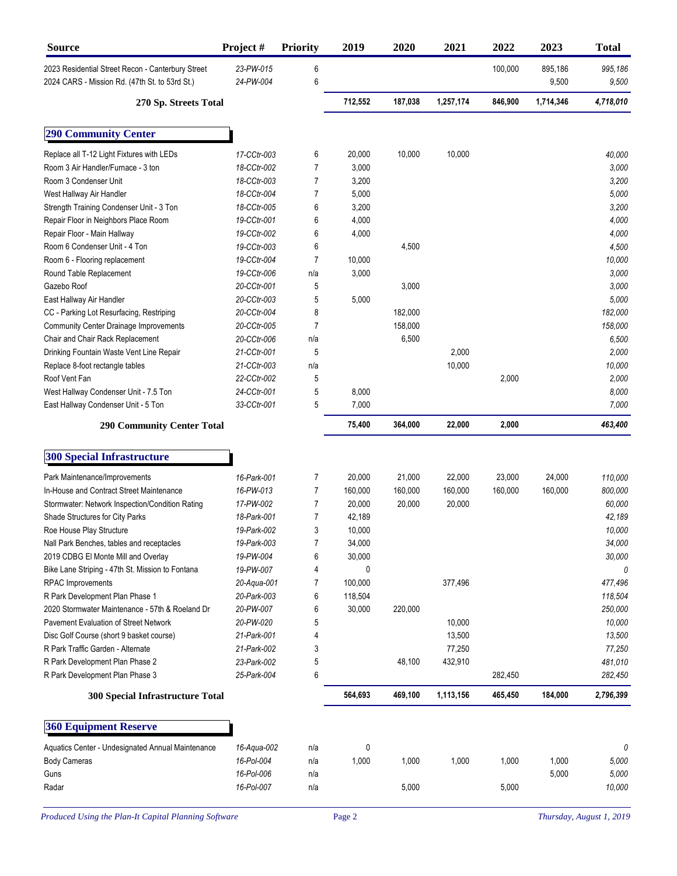| <b>Source</b>                                                                                       | Project#               | <b>Priority</b> | 2019    | 2020    | 2021      | 2022    | 2023             | <b>Total</b>     |
|-----------------------------------------------------------------------------------------------------|------------------------|-----------------|---------|---------|-----------|---------|------------------|------------------|
| 2023 Residential Street Recon - Canterbury Street<br>2024 CARS - Mission Rd. (47th St. to 53rd St.) | 23-PW-015<br>24-PW-004 | 6<br>6          |         |         |           | 100,000 | 895,186<br>9,500 | 995,186<br>9,500 |
| 270 Sp. Streets Total                                                                               |                        |                 | 712,552 | 187,038 | 1,257,174 | 846,900 | 1,714,346        | 4,718,010        |
| <b>290 Community Center</b>                                                                         |                        |                 |         |         |           |         |                  |                  |
| Replace all T-12 Light Fixtures with LEDs                                                           | 17-CCtr-003            | 6               | 20,000  | 10,000  | 10,000    |         |                  | 40,000           |
| Room 3 Air Handler/Furnace - 3 ton                                                                  | 18-CCtr-002            | 7               | 3,000   |         |           |         |                  | 3,000            |
| Room 3 Condenser Unit                                                                               | 18-CCtr-003            | 7               | 3,200   |         |           |         |                  | 3,200            |
| West Hallway Air Handler                                                                            | 18-CCtr-004            | 7               | 5,000   |         |           |         |                  | 5,000            |
| Strength Training Condenser Unit - 3 Ton                                                            | 18-CCtr-005            | 6               | 3,200   |         |           |         |                  | 3,200            |
| Repair Floor in Neighbors Place Room                                                                | 19-CCtr-001            | 6               | 4,000   |         |           |         |                  | 4,000            |
| Repair Floor - Main Hallway                                                                         | 19-CCtr-002            | 6               | 4,000   |         |           |         |                  | 4,000            |
| Room 6 Condenser Unit - 4 Ton                                                                       | 19-CCtr-003            | 6               |         | 4,500   |           |         |                  | 4,500            |
| Room 6 - Flooring replacement                                                                       | 19-CCtr-004            | 7               | 10,000  |         |           |         |                  | 10,000           |
| Round Table Replacement                                                                             | 19-CCtr-006            | n/a             | 3,000   |         |           |         |                  | 3,000            |
| Gazebo Roof                                                                                         | 20-CCtr-001            | 5               |         | 3,000   |           |         |                  | 3,000            |
| East Hallway Air Handler                                                                            | 20-CCtr-003            | 5               | 5,000   |         |           |         |                  | 5,000            |
| CC - Parking Lot Resurfacing, Restriping                                                            | 20-CCtr-004            | 8               |         | 182,000 |           |         |                  | 182,000          |
| <b>Community Center Drainage Improvements</b>                                                       | 20-CCtr-005            | 7               |         | 158,000 |           |         |                  | 158,000          |
| Chair and Chair Rack Replacement                                                                    | 20-CCtr-006            | n/a             |         | 6,500   |           |         |                  | 6,500            |
| Drinking Fountain Waste Vent Line Repair                                                            | 21-CCtr-001            | 5               |         |         | 2,000     |         |                  | 2,000            |
| Replace 8-foot rectangle tables                                                                     | 21-CCtr-003            | n/a             |         |         | 10,000    |         |                  | 10,000           |
| Roof Vent Fan                                                                                       | 22-CCtr-002            | 5               |         |         |           | 2,000   |                  | 2,000            |
| West Hallway Condenser Unit - 7.5 Ton                                                               | 24-CCtr-001            | 5               | 8,000   |         |           |         |                  | 8,000            |
| East Hallway Condenser Unit - 5 Ton                                                                 | 33-CCtr-001            | 5               | 7,000   |         |           |         |                  | 7,000            |
| <b>290 Community Center Total</b>                                                                   |                        |                 | 75,400  | 364,000 | 22,000    | 2,000   |                  | 463,400          |
| <b>300 Special Infrastructure</b>                                                                   |                        |                 |         |         |           |         |                  |                  |
| Park Maintenance/Improvements                                                                       | 16-Park-001            | 7               | 20,000  | 21,000  | 22,000    | 23,000  | 24,000           | 110,000          |
| In-House and Contract Street Maintenance                                                            | 16-PW-013              | 7               | 160,000 | 160,000 | 160,000   | 160,000 | 160,000          | 800,000          |
| Stormwater: Network Inspection/Condition Rating                                                     | 17-PW-002              | 7               | 20,000  | 20,000  | 20,000    |         |                  | 60,000           |
| Shade Structures for City Parks                                                                     | 18-Park-001            | 7               | 42,189  |         |           |         |                  | 42,189           |
| Roe House Play Structure                                                                            | 19-Park-002            | 3               | 10,000  |         |           |         |                  | 10,000           |
| Nall Park Benches, tables and receptacles                                                           | 19-Park-003            | 7               | 34,000  |         |           |         |                  | 34,000           |
| 2019 CDBG El Monte Mill and Overlay                                                                 | 19-PW-004              | 6               | 30,000  |         |           |         |                  | 30,000           |
| Bike Lane Striping - 47th St. Mission to Fontana                                                    | 19-PW-007              | 4               | 0       |         |           |         |                  | 0                |
| <b>RPAC</b> Improvements                                                                            | 20-Aqua-001            | 7               | 100,000 |         | 377,496   |         |                  | 477,496          |
| R Park Development Plan Phase 1                                                                     | 20-Park-003            | 6               | 118,504 |         |           |         |                  | 118,504          |
| 2020 Stormwater Maintenance - 57th & Roeland Dr                                                     | 20-PW-007              | 6               | 30,000  | 220,000 |           |         |                  | 250,000          |
| Pavement Evaluation of Street Network                                                               | 20-PW-020              | 5               |         |         | 10,000    |         |                  | 10,000           |
| Disc Golf Course (short 9 basket course)                                                            | 21-Park-001            | 4               |         |         | 13,500    |         |                  | 13,500           |
| R Park Traffic Garden - Alternate                                                                   | 21-Park-002            | 3               |         |         | 77,250    |         |                  | 77,250           |
| R Park Development Plan Phase 2                                                                     | 23-Park-002            | 5               |         | 48,100  | 432,910   |         |                  | 481,010          |
| R Park Development Plan Phase 3                                                                     | 25-Park-004            | 6               |         |         |           | 282,450 |                  | 282,450          |
| 300 Special Infrastructure Total                                                                    |                        |                 | 564,693 | 469,100 | 1,113,156 | 465,450 | 184,000          | 2,796,399        |
| <b>360 Equipment Reserve</b>                                                                        |                        |                 |         |         |           |         |                  |                  |
| Aquatics Center - Undesignated Annual Maintenance                                                   | 16-Aqua-002            | n/a             | 0       |         |           |         |                  | 0                |
| <b>Body Cameras</b>                                                                                 | 16-Pol-004             | n/a             | 1,000   | 1,000   | 1,000     | 1,000   | 1,000            | 5,000            |
| Guns                                                                                                | 16-Pol-006             | n/a             |         |         |           |         | 5,000            | 5,000            |
| Radar                                                                                               | 16-Pol-007             | n/a             |         | 5,000   |           | 5,000   |                  | 10,000           |
|                                                                                                     |                        |                 |         |         |           |         |                  |                  |

*Produced Using the Plan-It Capital Planning Software* Page 2 *Page 2 Thursday, August 1, 2019*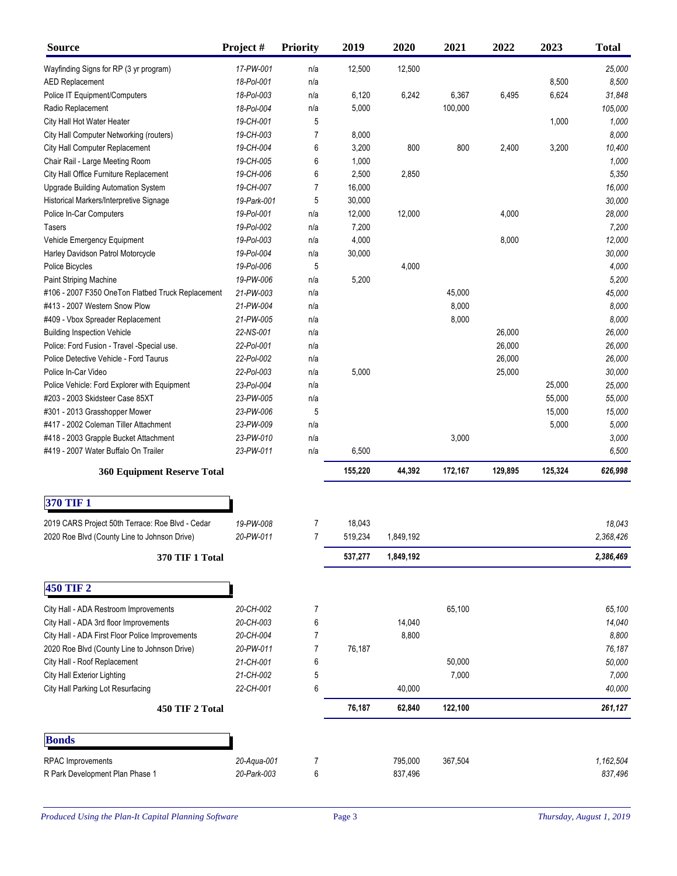| <b>Source</b>                                     | Project#    | <b>Priority</b> | 2019    | 2020      | 2021    | 2022    | 2023    | <b>Total</b> |
|---------------------------------------------------|-------------|-----------------|---------|-----------|---------|---------|---------|--------------|
| Wayfinding Signs for RP (3 yr program)            | 17-PW-001   | n/a             | 12,500  | 12,500    |         |         |         | 25,000       |
| <b>AED Replacement</b>                            | 18-Pol-001  | n/a             |         |           |         |         | 8,500   | 8,500        |
| Police IT Equipment/Computers                     | 18-Pol-003  | n/a             | 6,120   | 6,242     | 6,367   | 6,495   | 6,624   | 31,848       |
| Radio Replacement                                 | 18-Pol-004  | n/a             | 5,000   |           | 100,000 |         |         | 105,000      |
| City Hall Hot Water Heater                        | 19-CH-001   | 5               |         |           |         |         | 1,000   | 1,000        |
| City Hall Computer Networking (routers)           | 19-CH-003   | 7               | 8,000   |           |         |         |         | 8,000        |
| City Hall Computer Replacement                    | 19-CH-004   | 6               | 3,200   | 800       | 800     | 2,400   | 3,200   | 10,400       |
| Chair Rail - Large Meeting Room                   | 19-CH-005   | 6               | 1,000   |           |         |         |         | 1,000        |
| City Hall Office Furniture Replacement            | 19-CH-006   | 6               | 2,500   | 2,850     |         |         |         | 5,350        |
| <b>Upgrade Building Automation System</b>         | 19-CH-007   | 7               | 16,000  |           |         |         |         | 16,000       |
| Historical Markers/Interpretive Signage           | 19-Park-001 | 5               | 30,000  |           |         |         |         | 30,000       |
| Police In-Car Computers                           | 19-Pol-001  | n/a             | 12,000  | 12,000    |         | 4,000   |         | 28,000       |
| <b>Tasers</b>                                     | 19-Pol-002  | n/a             | 7,200   |           |         |         |         | 7,200        |
| Vehicle Emergency Equipment                       | 19-Pol-003  | n/a             | 4,000   |           |         | 8,000   |         | 12,000       |
| Harley Davidson Patrol Motorcycle                 | 19-Pol-004  | n/a             | 30,000  |           |         |         |         | 30,000       |
| Police Bicycles                                   | 19-Pol-006  | 5               |         | 4,000     |         |         |         | 4,000        |
| Paint Striping Machine                            | 19-PW-006   | n/a             | 5,200   |           |         |         |         | 5,200        |
| #106 - 2007 F350 OneTon Flatbed Truck Replacement | 21-PW-003   | n/a             |         |           | 45,000  |         |         | 45,000       |
| #413 - 2007 Western Snow Plow                     | 21-PW-004   | n/a             |         |           | 8,000   |         |         | 8,000        |
| #409 - Vbox Spreader Replacement                  | 21-PW-005   | n/a             |         |           | 8,000   |         |         | 8,000        |
| <b>Building Inspection Vehicle</b>                | 22-NS-001   | n/a             |         |           |         | 26,000  |         | 26,000       |
| Police: Ford Fusion - Travel - Special use.       | 22-Pol-001  | n/a             |         |           |         | 26,000  |         | 26,000       |
| Police Detective Vehicle - Ford Taurus            | 22-Pol-002  | n/a             |         |           |         | 26,000  |         | 26,000       |
| Police In-Car Video                               | 22-Pol-003  | n/a             | 5,000   |           |         | 25,000  |         | 30,000       |
| Police Vehicle: Ford Explorer with Equipment      | 23-Pol-004  | n/a             |         |           |         |         | 25,000  | 25,000       |
| #203 - 2003 Skidsteer Case 85XT                   | 23-PW-005   | n/a             |         |           |         |         | 55,000  | 55,000       |
| #301 - 2013 Grasshopper Mower                     | 23-PW-006   | 5               |         |           |         |         | 15,000  | 15,000       |
| #417 - 2002 Coleman Tiller Attachment             | 23-PW-009   | n/a             |         |           |         |         | 5,000   | 5,000        |
| #418 - 2003 Grapple Bucket Attachment             | 23-PW-010   | n/a             |         |           | 3,000   |         |         | 3,000        |
| #419 - 2007 Water Buffalo On Trailer              | 23-PW-011   | n/a             | 6,500   |           |         |         |         | 6,500        |
| <b>360 Equipment Reserve Total</b>                |             |                 | 155,220 | 44,392    | 172,167 | 129,895 | 125,324 | 626,998      |
|                                                   |             |                 |         |           |         |         |         |              |
| <b>370 TIF 1</b>                                  |             |                 |         |           |         |         |         |              |
| 2019 CARS Project 50th Terrace: Roe Blvd - Cedar  | 19-PW-008   | 7               | 18,043  |           |         |         |         | 18,043       |
| 2020 Roe Blvd (County Line to Johnson Drive)      | 20-PW-011   |                 | 519,234 | 1,849,192 |         |         |         | 2,368,426    |
| 370 TIF 1 Total                                   |             |                 | 537,277 | 1,849,192 |         |         |         | 2,386,469    |
|                                                   |             |                 |         |           |         |         |         |              |
| 450 TIF 2                                         |             |                 |         |           |         |         |         |              |
| City Hall - ADA Restroom Improvements             | 20-CH-002   | 7               |         |           | 65,100  |         |         | 65,100       |
| City Hall - ADA 3rd floor Improvements            | 20-CH-003   | 6               |         | 14,040    |         |         |         | 14,040       |
| City Hall - ADA First Floor Police Improvements   | 20-CH-004   | 7               |         | 8,800     |         |         |         | 8,800        |
| 2020 Roe Blvd (County Line to Johnson Drive)      | 20-PW-011   | 7               | 76,187  |           |         |         |         | 76,187       |
| City Hall - Roof Replacement                      | 21-CH-001   | 6               |         |           | 50,000  |         |         | 50,000       |
| <b>City Hall Exterior Lighting</b>                | 21-CH-002   | 5               |         |           | 7,000   |         |         | 7,000        |
| City Hall Parking Lot Resurfacing                 | 22-CH-001   | 6               |         | 40,000    |         |         |         | 40,000       |
| 450 TIF 2 Total                                   |             |                 | 76,187  | 62,840    | 122,100 |         |         | 261,127      |
| <b>Bonds</b>                                      |             |                 |         |           |         |         |         |              |
| <b>RPAC</b> Improvements                          | 20-Aqua-001 | 7               |         | 795,000   | 367,504 |         |         | 1.162,504    |
| R Park Development Plan Phase 1                   | 20-Park-003 | 6               |         | 837,496   |         |         |         | 837,496      |
|                                                   |             |                 |         |           |         |         |         |              |

Produced Using the Plan-It Capital Planning Software Page 3 Page 3 *Thursday, August 1, 2019*